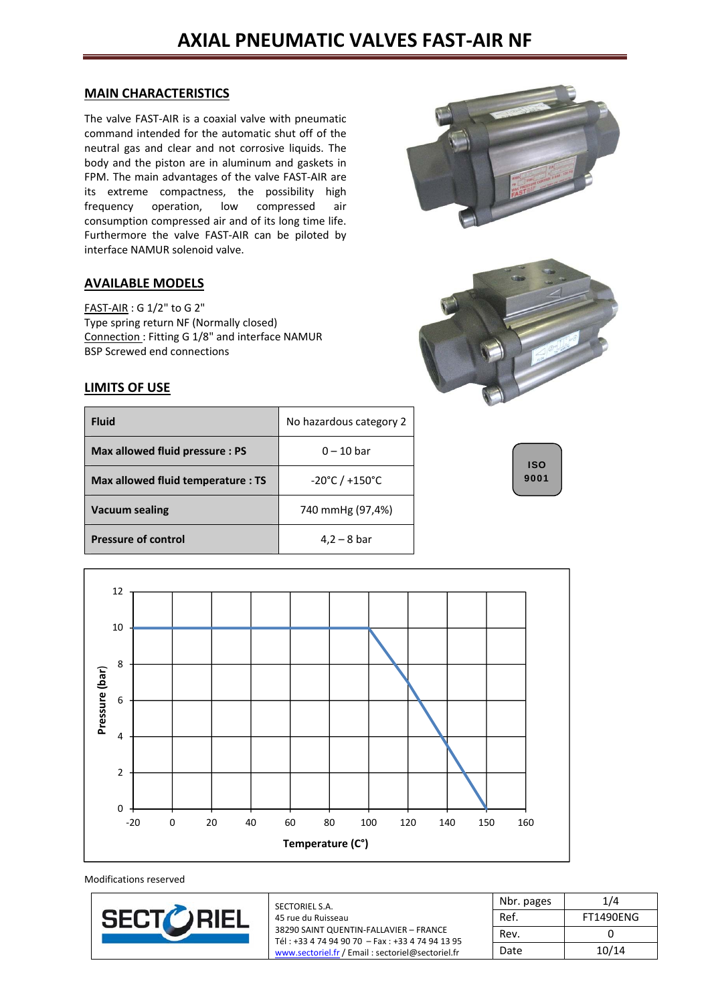# **AXIAL PNEUMATIC VALVES FAST‐AIR NF**

#### **MAIN CHARACTERISTICS**

The valve FAST‐AIR is a coaxial valve with pneumatic command intended for the automatic shut off of the neutral gas and clear and not corrosive liquids. The body and the piston are in aluminum and gaskets in FPM. The main advantages of the valve FAST-AIR are its extreme compactness, the possibility high frequency operation, low compressed air consumption compressed air and of its long time life. Furthermore the valve FAST‐AIR can be piloted by interface NAMUR solenoid valve.

#### **AVAILABLE MODELS**

FAST‐AIR : G 1/2" to G 2" Type spring return NF (Normally closed) Connection : Fitting G 1/8" and interface NAMUR BSP Screwed end connections

#### **LIMITS OF USE**

| <b>Fluid</b>                       | No hazardous category 2             |
|------------------------------------|-------------------------------------|
| Max allowed fluid pressure: PS     | $0 - 10$ bar                        |
| Max allowed fluid temperature : TS | $-20^{\circ}$ C / +150 $^{\circ}$ C |
| <b>Vacuum sealing</b>              | 740 mmHg (97,4%)                    |
| <b>Pressure of control</b>         | $4.2 - 8$ bar                       |







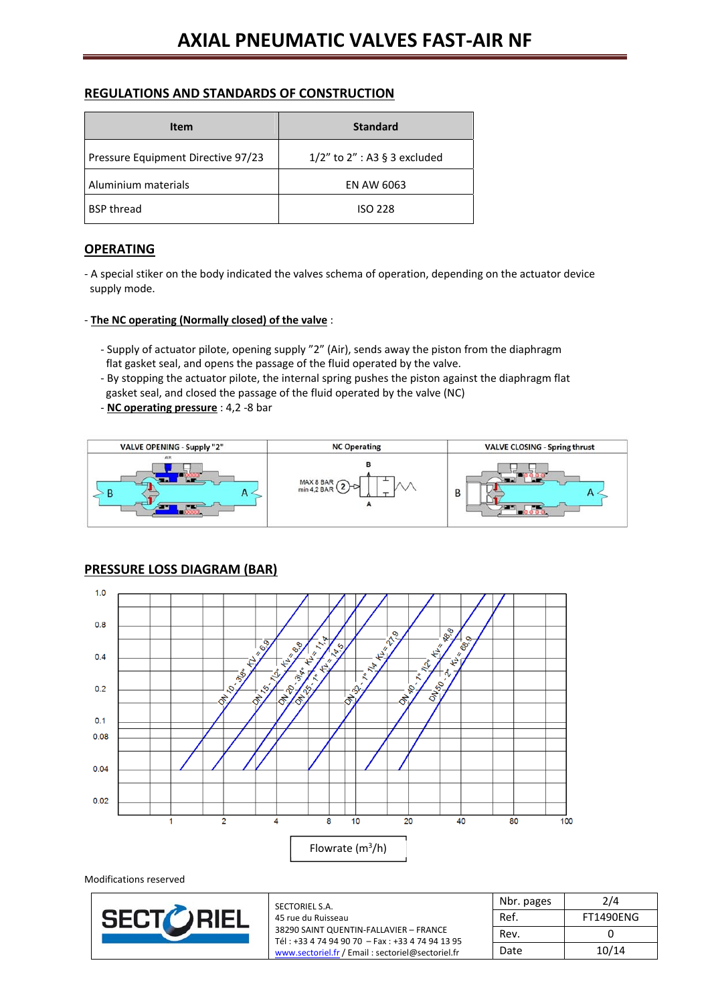#### **REGULATIONS AND STANDARDS OF CONSTRUCTION**

| <b>Item</b>                        | <b>Standard</b>                    |  |  |
|------------------------------------|------------------------------------|--|--|
| Pressure Equipment Directive 97/23 | $1/2$ " to $2$ " : A3 § 3 excluded |  |  |
| Aluminium materials                | EN AW 6063                         |  |  |
| <b>BSP thread</b>                  | <b>ISO 228</b>                     |  |  |

## **OPERATING**

‐ A special stiker on the body indicated the valves schema of operation, depending on the actuator device supply mode.

#### ‐ **The NC operating (Normally closed) of the valve** :

- ‐ Supply of actuator pilote, opening supply "2" (Air), sends away the piston from the diaphragm flat gasket seal, and opens the passage of the fluid operated by the valve.
- ‐ By stopping the actuator pilote, the internal spring pushes the piston against the diaphragm flat gasket seal, and closed the passage of the fluid operated by the valve (NC)
- ‐ **NC operating pressure** : 4,2 ‐8 bar



## **PRESSURE LOSS DIAGRAM (BAR)**

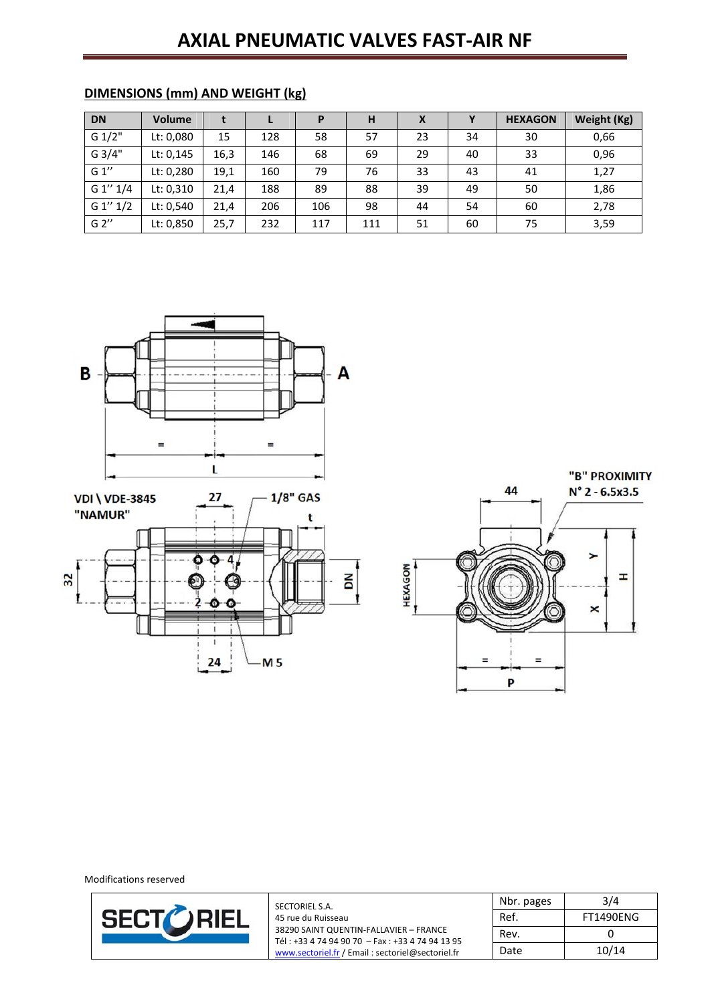# **AXIAL PNEUMATIC VALVES FAST‐AIR NF**

| <b>DN</b> | <b>Volume</b> |      |     |     | Н   | х  |    | <b>HEXAGON</b> | Weight (Kg) |
|-----------|---------------|------|-----|-----|-----|----|----|----------------|-------------|
| G 1/2"    | Lt: 0,080     | 15   | 128 | 58  | 57  | 23 | 34 | 30             | 0,66        |
| G 3/4"    | Lt: 0,145     | 16,3 | 146 | 68  | 69  | 29 | 40 | 33             | 0,96        |
| G 1''     | Lt: 0,280     | 19,1 | 160 | 79  | 76  | 33 | 43 | 41             | 1,27        |
| G 1" 1/4  | Lt: 0,310     | 21,4 | 188 | 89  | 88  | 39 | 49 | 50             | 1,86        |
| G 1" 1/2  | Lt: 0,540     | 21,4 | 206 | 106 | 98  | 44 | 54 | 60             | 2,78        |
| G 2''     | Lt: 0,850     | 25,7 | 232 | 117 | 111 | 51 | 60 | 75             | 3,59        |

## **DIMENSIONS (mm) AND WEIGHT (kg)**